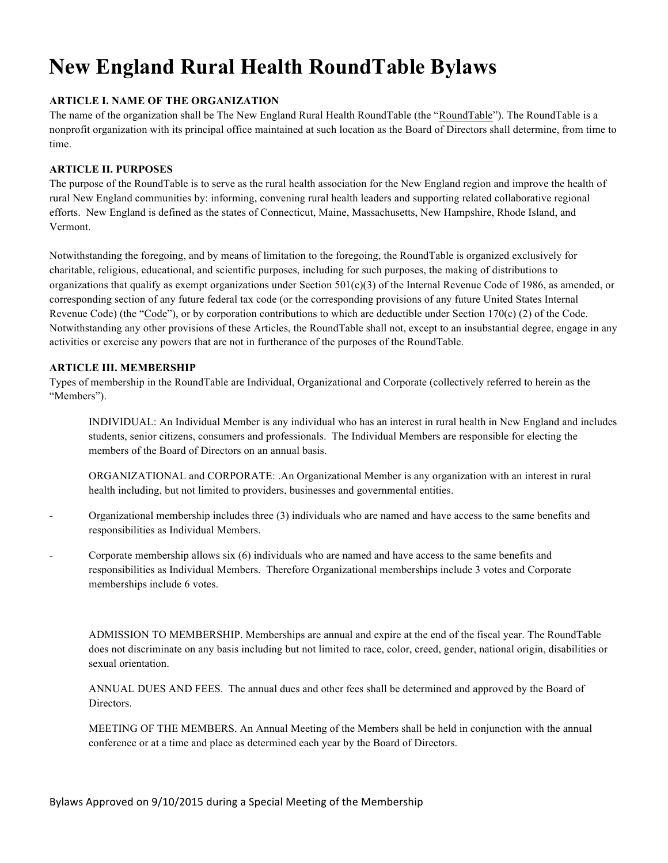# **New England Rural Health RoundTable Bylaws**

# **ARTICLE I. NAME OF THE ORGANIZATION**

The name of the organization shall be The New England Rural Health RoundTable (the "RoundTable"). The RoundTable is a nonprofit organization with its principal office maintained at such location as the Board of Directors shall determine, from time to time.

## **ARTICLE II. PURPOSES**

The purpose of the RoundTable is to serve as the rural health association for the New England region and improve the health of rural New England communities by: informing, convening rural health leaders and supporting related collaborative regional efforts. New England is defined as the states of Connecticut, Maine, Massachusetts, New Hampshire, Rhode Island, and Vermont.

Notwithstanding the foregoing, and by means of limitation to the foregoing, the RoundTable is organized exclusively for charitable, religious, educational, and scientific purposes, including for such purposes, the making of distributions to organizations that qualify as exempt organizations under Section  $501(c)(3)$  of the Internal Revenue Code of 1986, as amended, or corresponding section of any future federal tax code (or the corresponding provisions of any future United States Internal Revenue Code) (the "Code"), or by corporation contributions to which are deductible under Section 170(c) (2) of the Code. Notwithstanding any other provisions of these Articles, the RoundTable shall not, except to an insubstantial degree, engage in any activities or exercise any powers that are not in furtherance of the purposes of the RoundTable.

## **ARTICLE III. MEMBERSHIP**

Types of membership in the RoundTable are Individual, Organizational and Corporate (collectively referred to herein as the "Members").

INDIVIDUAL: An Individual Member is any individual who has an interest in rural health in New England and includes students, senior citizens, consumers and professionals. The Individual Members are responsible for electing the members of the Board of Directors on an annual basis.

ORGANIZATIONAL and CORPORATE: .An Organizational Member is any organization with an interest in rural health including, but not limited to providers, businesses and governmental entities.

- Organizational membership includes three (3) individuals who are named and have access to the same benefits and responsibilities as Individual Members.
- Corporate membership allows six (6) individuals who are named and have access to the same benefits and responsibilities as Individual Members. Therefore Organizational memberships include 3 votes and Corporate memberships include 6 votes.

ADMISSION TO MEMBERSHIP. Memberships are annual and expire at the end of the fiscal year. The RoundTable does not discriminate on any basis including but not limited to race, color, creed, gender, national origin, disabilities or sexual orientation.

ANNUAL DUES AND FEES. The annual dues and other fees shall be determined and approved by the Board of Directors.

MEETING OF THE MEMBERS. An Annual Meeting of the Members shall be held in conjunction with the annual conference or at a time and place as determined each year by the Board of Directors.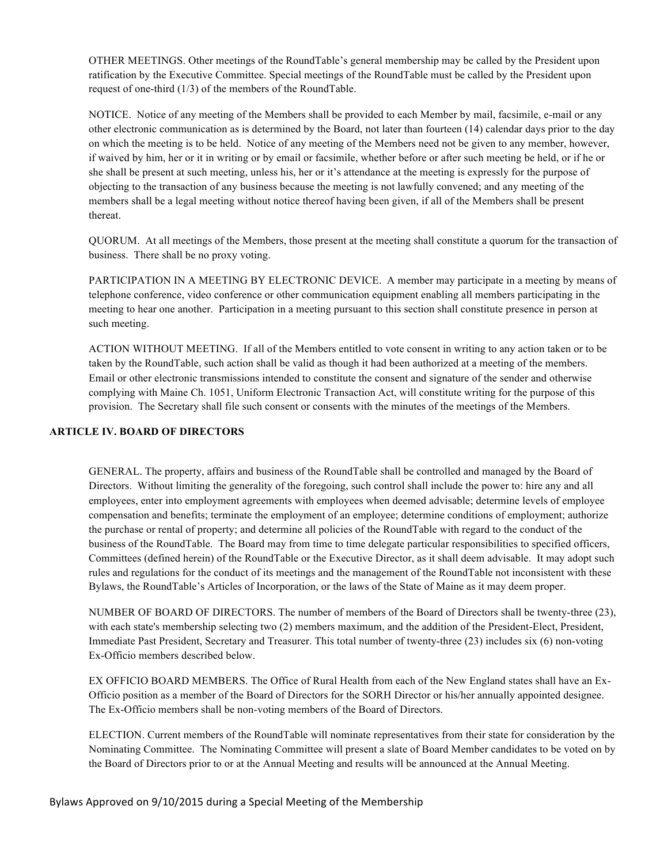OTHER MEETINGS. Other meetings of the RoundTable's general membership may be called by the President upon ratification by the Executive Committee. Special meetings of the RoundTable must be called by the President upon request of one-third (1/3) of the members of the RoundTable.

NOTICE. Notice of any meeting of the Members shall be provided to each Member by mail, facsimile, e-mail or any other electronic communication as is determined by the Board, not later than fourteen (14) calendar days prior to the day on which the meeting is to be held. Notice of any meeting of the Members need not be given to any member, however, if waived by him, her or it in writing or by email or facsimile, whether before or after such meeting be held, or if he or she shall be present at such meeting, unless his, her or it's attendance at the meeting is expressly for the purpose of objecting to the transaction of any business because the meeting is not lawfully convened; and any meeting of the members shall be a legal meeting without notice thereof having been given, if all of the Members shall be present thereat.

QUORUM. At all meetings of the Members, those present at the meeting shall constitute a quorum for the transaction of business. There shall be no proxy voting.

PARTICIPATION IN A MEETING BY ELECTRONIC DEVICE. A member may participate in a meeting by means of telephone conference, video conference or other communication equipment enabling all members participating in the meeting to hear one another. Participation in a meeting pursuant to this section shall constitute presence in person at such meeting.

ACTION WITHOUT MEETING. If all of the Members entitled to vote consent in writing to any action taken or to be taken by the RoundTable, such action shall be valid as though it had been authorized at a meeting of the members. Email or other electronic transmissions intended to constitute the consent and signature of the sender and otherwise complying with Maine Ch. 1051, Uniform Electronic Transaction Act, will constitute writing for the purpose of this provision. The Secretary shall file such consent or consents with the minutes of the meetings of the Members.

# **ARTICLE IV. BOARD OF DIRECTORS**

GENERAL. The property, affairs and business of the RoundTable shall be controlled and managed by the Board of Directors. Without limiting the generality of the foregoing, such control shall include the power to: hire any and all employees, enter into employment agreements with employees when deemed advisable; determine levels of employee compensation and benefits; terminate the employment of an employee; determine conditions of employment; authorize the purchase or rental of property; and determine all policies of the RoundTable with regard to the conduct of the business of the RoundTable. The Board may from time to time delegate particular responsibilities to specified officers, Committees (defined herein) of the RoundTable or the Executive Director, as it shall deem advisable. It may adopt such rules and regulations for the conduct of its meetings and the management of the RoundTable not inconsistent with these Bylaws, the RoundTable's Articles of Incorporation, or the laws of the State of Maine as it may deem proper.

NUMBER OF BOARD OF DIRECTORS. The number of members of the Board of Directors shall be twenty-three (23), with each state's membership selecting two (2) members maximum, and the addition of the President-Elect, President, Immediate Past President, Secretary and Treasurer. This total number of twenty-three (23) includes six (6) non-voting Ex-Officio members described below.

EX OFFICIO BOARD MEMBERS. The Office of Rural Health from each of the New England states shall have an Ex-Officio position as a member of the Board of Directors for the SORH Director or his/her annually appointed designee. The Ex-Officio members shall be non-voting members of the Board of Directors.

ELECTION. Current members of the RoundTable will nominate representatives from their state for consideration by the Nominating Committee. The Nominating Committee will present a slate of Board Member candidates to be voted on by the Board of Directors prior to or at the Annual Meeting and results will be announced at the Annual Meeting.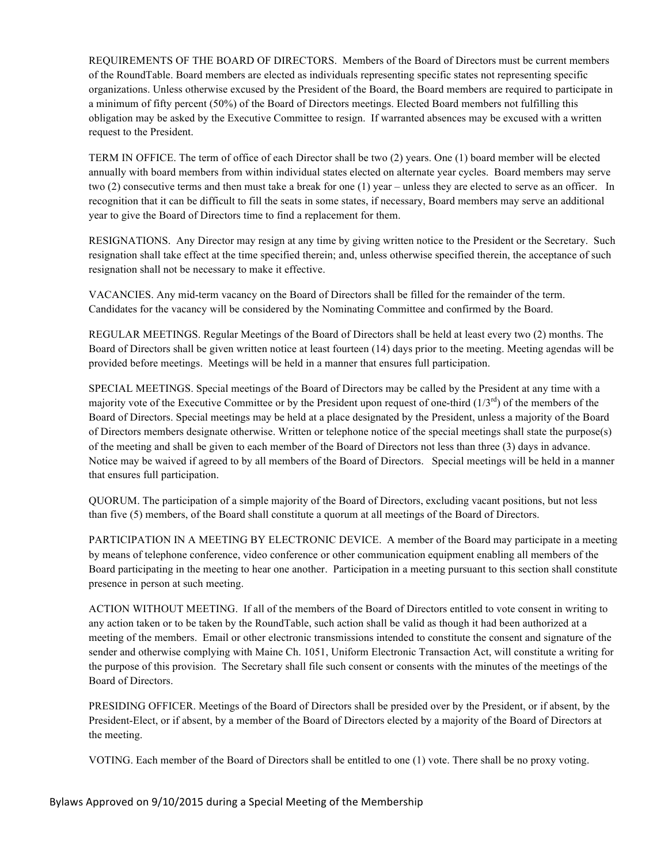REQUIREMENTS OF THE BOARD OF DIRECTORS. Members of the Board of Directors must be current members of the RoundTable. Board members are elected as individuals representing specific states not representing specific organizations. Unless otherwise excused by the President of the Board, the Board members are required to participate in a minimum of fifty percent (50%) of the Board of Directors meetings. Elected Board members not fulfilling this obligation may be asked by the Executive Committee to resign. If warranted absences may be excused with a written request to the President.

TERM IN OFFICE. The term of office of each Director shall be two (2) years. One (1) board member will be elected annually with board members from within individual states elected on alternate year cycles. Board members may serve two (2) consecutive terms and then must take a break for one (1) year – unless they are elected to serve as an officer. In recognition that it can be difficult to fill the seats in some states, if necessary, Board members may serve an additional year to give the Board of Directors time to find a replacement for them.

RESIGNATIONS. Any Director may resign at any time by giving written notice to the President or the Secretary. Such resignation shall take effect at the time specified therein; and, unless otherwise specified therein, the acceptance of such resignation shall not be necessary to make it effective.

VACANCIES. Any mid-term vacancy on the Board of Directors shall be filled for the remainder of the term. Candidates for the vacancy will be considered by the Nominating Committee and confirmed by the Board.

REGULAR MEETINGS. Regular Meetings of the Board of Directors shall be held at least every two (2) months. The Board of Directors shall be given written notice at least fourteen (14) days prior to the meeting. Meeting agendas will be provided before meetings. Meetings will be held in a manner that ensures full participation.

SPECIAL MEETINGS. Special meetings of the Board of Directors may be called by the President at any time with a majority vote of the Executive Committee or by the President upon request of one-third  $(1/3<sup>rd</sup>)$  of the members of the Board of Directors. Special meetings may be held at a place designated by the President, unless a majority of the Board of Directors members designate otherwise. Written or telephone notice of the special meetings shall state the purpose(s) of the meeting and shall be given to each member of the Board of Directors not less than three (3) days in advance. Notice may be waived if agreed to by all members of the Board of Directors. Special meetings will be held in a manner that ensures full participation.

QUORUM. The participation of a simple majority of the Board of Directors, excluding vacant positions, but not less than five (5) members, of the Board shall constitute a quorum at all meetings of the Board of Directors.

PARTICIPATION IN A MEETING BY ELECTRONIC DEVICE. A member of the Board may participate in a meeting by means of telephone conference, video conference or other communication equipment enabling all members of the Board participating in the meeting to hear one another. Participation in a meeting pursuant to this section shall constitute presence in person at such meeting.

ACTION WITHOUT MEETING. If all of the members of the Board of Directors entitled to vote consent in writing to any action taken or to be taken by the RoundTable, such action shall be valid as though it had been authorized at a meeting of the members. Email or other electronic transmissions intended to constitute the consent and signature of the sender and otherwise complying with Maine Ch. 1051, Uniform Electronic Transaction Act, will constitute a writing for the purpose of this provision. The Secretary shall file such consent or consents with the minutes of the meetings of the Board of Directors.

PRESIDING OFFICER. Meetings of the Board of Directors shall be presided over by the President, or if absent, by the President-Elect, or if absent, by a member of the Board of Directors elected by a majority of the Board of Directors at the meeting.

VOTING. Each member of the Board of Directors shall be entitled to one (1) vote. There shall be no proxy voting.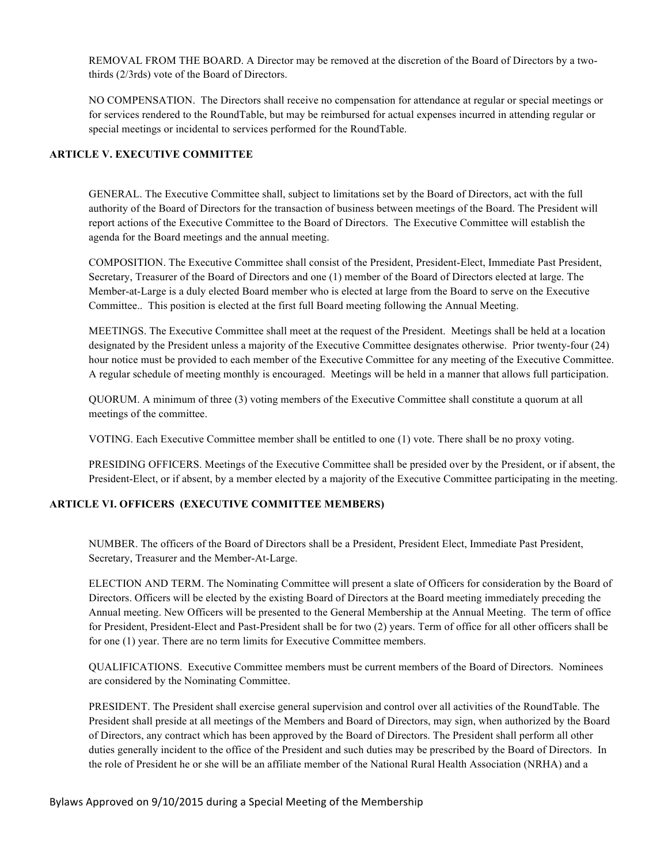REMOVAL FROM THE BOARD. A Director may be removed at the discretion of the Board of Directors by a twothirds (2/3rds) vote of the Board of Directors.

NO COMPENSATION. The Directors shall receive no compensation for attendance at regular or special meetings or for services rendered to the RoundTable, but may be reimbursed for actual expenses incurred in attending regular or special meetings or incidental to services performed for the RoundTable.

## **ARTICLE V. EXECUTIVE COMMITTEE**

GENERAL. The Executive Committee shall, subject to limitations set by the Board of Directors, act with the full authority of the Board of Directors for the transaction of business between meetings of the Board. The President will report actions of the Executive Committee to the Board of Directors. The Executive Committee will establish the agenda for the Board meetings and the annual meeting.

COMPOSITION. The Executive Committee shall consist of the President, President-Elect, Immediate Past President, Secretary, Treasurer of the Board of Directors and one (1) member of the Board of Directors elected at large. The Member-at-Large is a duly elected Board member who is elected at large from the Board to serve on the Executive Committee.. This position is elected at the first full Board meeting following the Annual Meeting.

MEETINGS. The Executive Committee shall meet at the request of the President. Meetings shall be held at a location designated by the President unless a majority of the Executive Committee designates otherwise. Prior twenty-four (24) hour notice must be provided to each member of the Executive Committee for any meeting of the Executive Committee. A regular schedule of meeting monthly is encouraged. Meetings will be held in a manner that allows full participation.

QUORUM. A minimum of three (3) voting members of the Executive Committee shall constitute a quorum at all meetings of the committee.

VOTING. Each Executive Committee member shall be entitled to one (1) vote. There shall be no proxy voting.

PRESIDING OFFICERS. Meetings of the Executive Committee shall be presided over by the President, or if absent, the President-Elect, or if absent, by a member elected by a majority of the Executive Committee participating in the meeting.

# **ARTICLE VI. OFFICERS (EXECUTIVE COMMITTEE MEMBERS)**

NUMBER. The officers of the Board of Directors shall be a President, President Elect, Immediate Past President, Secretary, Treasurer and the Member-At-Large.

ELECTION AND TERM. The Nominating Committee will present a slate of Officers for consideration by the Board of Directors. Officers will be elected by the existing Board of Directors at the Board meeting immediately preceding the Annual meeting. New Officers will be presented to the General Membership at the Annual Meeting. The term of office for President, President-Elect and Past-President shall be for two (2) years. Term of office for all other officers shall be for one (1) year. There are no term limits for Executive Committee members.

QUALIFICATIONS. Executive Committee members must be current members of the Board of Directors. Nominees are considered by the Nominating Committee.

PRESIDENT. The President shall exercise general supervision and control over all activities of the RoundTable. The President shall preside at all meetings of the Members and Board of Directors, may sign, when authorized by the Board of Directors, any contract which has been approved by the Board of Directors. The President shall perform all other duties generally incident to the office of the President and such duties may be prescribed by the Board of Directors. In the role of President he or she will be an affiliate member of the National Rural Health Association (NRHA) and a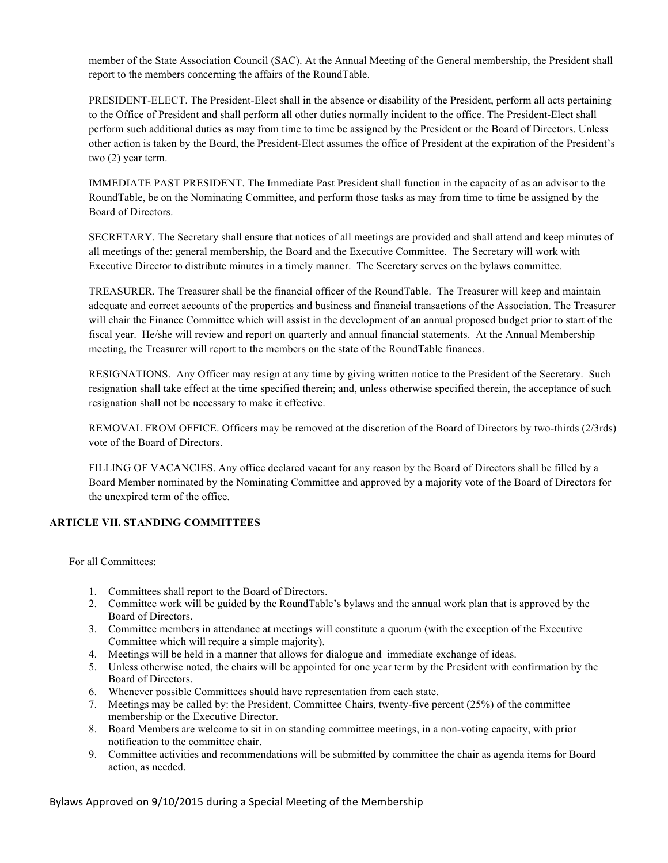member of the State Association Council (SAC). At the Annual Meeting of the General membership, the President shall report to the members concerning the affairs of the RoundTable.

PRESIDENT-ELECT. The President-Elect shall in the absence or disability of the President, perform all acts pertaining to the Office of President and shall perform all other duties normally incident to the office. The President-Elect shall perform such additional duties as may from time to time be assigned by the President or the Board of Directors. Unless other action is taken by the Board, the President-Elect assumes the office of President at the expiration of the President's two (2) year term.

IMMEDIATE PAST PRESIDENT. The Immediate Past President shall function in the capacity of as an advisor to the RoundTable, be on the Nominating Committee, and perform those tasks as may from time to time be assigned by the Board of Directors.

SECRETARY. The Secretary shall ensure that notices of all meetings are provided and shall attend and keep minutes of all meetings of the: general membership, the Board and the Executive Committee. The Secretary will work with Executive Director to distribute minutes in a timely manner. The Secretary serves on the bylaws committee.

TREASURER. The Treasurer shall be the financial officer of the RoundTable. The Treasurer will keep and maintain adequate and correct accounts of the properties and business and financial transactions of the Association. The Treasurer will chair the Finance Committee which will assist in the development of an annual proposed budget prior to start of the fiscal year. He/she will review and report on quarterly and annual financial statements. At the Annual Membership meeting, the Treasurer will report to the members on the state of the RoundTable finances.

RESIGNATIONS. Any Officer may resign at any time by giving written notice to the President of the Secretary. Such resignation shall take effect at the time specified therein; and, unless otherwise specified therein, the acceptance of such resignation shall not be necessary to make it effective.

REMOVAL FROM OFFICE. Officers may be removed at the discretion of the Board of Directors by two-thirds (2/3rds) vote of the Board of Directors.

FILLING OF VACANCIES. Any office declared vacant for any reason by the Board of Directors shall be filled by a Board Member nominated by the Nominating Committee and approved by a majority vote of the Board of Directors for the unexpired term of the office.

# **ARTICLE VII. STANDING COMMITTEES**

For all Committees:

- 1. Committees shall report to the Board of Directors.
- 2. Committee work will be guided by the RoundTable's bylaws and the annual work plan that is approved by the Board of Directors.
- 3. Committee members in attendance at meetings will constitute a quorum (with the exception of the Executive Committee which will require a simple majority).
- 4. Meetings will be held in a manner that allows for dialogue and immediate exchange of ideas.
- 5. Unless otherwise noted, the chairs will be appointed for one year term by the President with confirmation by the Board of Directors.
- 6. Whenever possible Committees should have representation from each state.
- 7. Meetings may be called by: the President, Committee Chairs, twenty-five percent (25%) of the committee membership or the Executive Director.
- 8. Board Members are welcome to sit in on standing committee meetings, in a non-voting capacity, with prior notification to the committee chair.
- 9. Committee activities and recommendations will be submitted by committee the chair as agenda items for Board action, as needed.

Bylaws Approved on 9/10/2015 during a Special Meeting of the Membership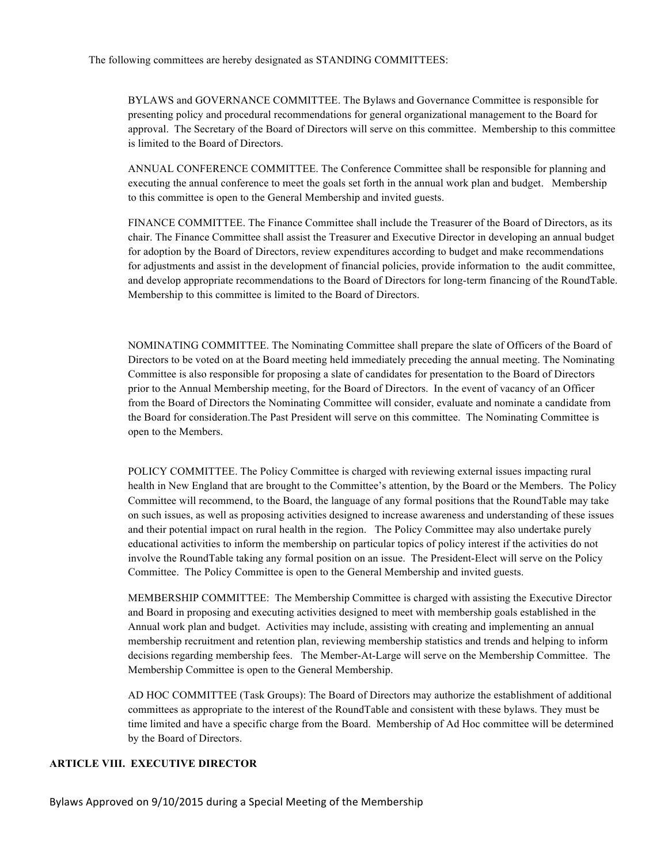BYLAWS and GOVERNANCE COMMITTEE. The Bylaws and Governance Committee is responsible for presenting policy and procedural recommendations for general organizational management to the Board for approval. The Secretary of the Board of Directors will serve on this committee. Membership to this committee is limited to the Board of Directors.

ANNUAL CONFERENCE COMMITTEE. The Conference Committee shall be responsible for planning and executing the annual conference to meet the goals set forth in the annual work plan and budget. Membership to this committee is open to the General Membership and invited guests.

FINANCE COMMITTEE. The Finance Committee shall include the Treasurer of the Board of Directors, as its chair. The Finance Committee shall assist the Treasurer and Executive Director in developing an annual budget for adoption by the Board of Directors, review expenditures according to budget and make recommendations for adjustments and assist in the development of financial policies, provide information to the audit committee, and develop appropriate recommendations to the Board of Directors for long-term financing of the RoundTable. Membership to this committee is limited to the Board of Directors.

NOMINATING COMMITTEE. The Nominating Committee shall prepare the slate of Officers of the Board of Directors to be voted on at the Board meeting held immediately preceding the annual meeting. The Nominating Committee is also responsible for proposing a slate of candidates for presentation to the Board of Directors prior to the Annual Membership meeting, for the Board of Directors. In the event of vacancy of an Officer from the Board of Directors the Nominating Committee will consider, evaluate and nominate a candidate from the Board for consideration.The Past President will serve on this committee. The Nominating Committee is open to the Members.

POLICY COMMITTEE. The Policy Committee is charged with reviewing external issues impacting rural health in New England that are brought to the Committee's attention, by the Board or the Members. The Policy Committee will recommend, to the Board, the language of any formal positions that the RoundTable may take on such issues, as well as proposing activities designed to increase awareness and understanding of these issues and their potential impact on rural health in the region. The Policy Committee may also undertake purely educational activities to inform the membership on particular topics of policy interest if the activities do not involve the RoundTable taking any formal position on an issue. The President-Elect will serve on the Policy Committee. The Policy Committee is open to the General Membership and invited guests.

MEMBERSHIP COMMITTEE: The Membership Committee is charged with assisting the Executive Director and Board in proposing and executing activities designed to meet with membership goals established in the Annual work plan and budget. Activities may include, assisting with creating and implementing an annual membership recruitment and retention plan, reviewing membership statistics and trends and helping to inform decisions regarding membership fees. The Member-At-Large will serve on the Membership Committee. The Membership Committee is open to the General Membership.

AD HOC COMMITTEE (Task Groups): The Board of Directors may authorize the establishment of additional committees as appropriate to the interest of the RoundTable and consistent with these bylaws. They must be time limited and have a specific charge from the Board. Membership of Ad Hoc committee will be determined by the Board of Directors.

# **ARTICLE VIII. EXECUTIVE DIRECTOR**

Bylaws Approved on 9/10/2015 during a Special Meeting of the Membership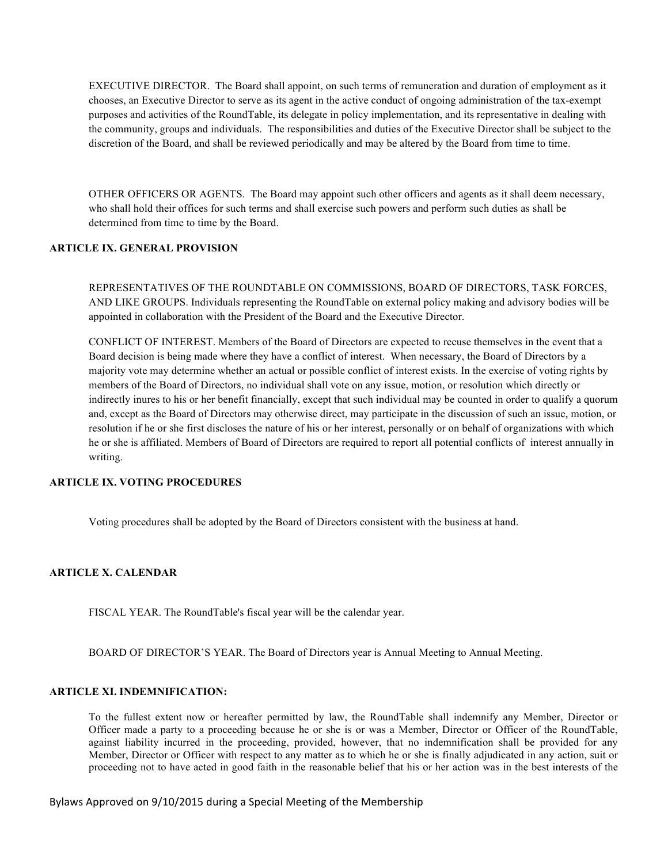EXECUTIVE DIRECTOR. The Board shall appoint, on such terms of remuneration and duration of employment as it chooses, an Executive Director to serve as its agent in the active conduct of ongoing administration of the tax-exempt purposes and activities of the RoundTable, its delegate in policy implementation, and its representative in dealing with the community, groups and individuals. The responsibilities and duties of the Executive Director shall be subject to the discretion of the Board, and shall be reviewed periodically and may be altered by the Board from time to time.

OTHER OFFICERS OR AGENTS. The Board may appoint such other officers and agents as it shall deem necessary, who shall hold their offices for such terms and shall exercise such powers and perform such duties as shall be determined from time to time by the Board.

## **ARTICLE IX. GENERAL PROVISION**

REPRESENTATIVES OF THE ROUNDTABLE ON COMMISSIONS, BOARD OF DIRECTORS, TASK FORCES, AND LIKE GROUPS. Individuals representing the RoundTable on external policy making and advisory bodies will be appointed in collaboration with the President of the Board and the Executive Director.

CONFLICT OF INTEREST. Members of the Board of Directors are expected to recuse themselves in the event that a Board decision is being made where they have a conflict of interest. When necessary, the Board of Directors by a majority vote may determine whether an actual or possible conflict of interest exists. In the exercise of voting rights by members of the Board of Directors, no individual shall vote on any issue, motion, or resolution which directly or indirectly inures to his or her benefit financially, except that such individual may be counted in order to qualify a quorum and, except as the Board of Directors may otherwise direct, may participate in the discussion of such an issue, motion, or resolution if he or she first discloses the nature of his or her interest, personally or on behalf of organizations with which he or she is affiliated. Members of Board of Directors are required to report all potential conflicts of interest annually in writing.

## **ARTICLE IX. VOTING PROCEDURES**

Voting procedures shall be adopted by the Board of Directors consistent with the business at hand.

#### **ARTICLE X. CALENDAR**

FISCAL YEAR. The RoundTable's fiscal year will be the calendar year.

BOARD OF DIRECTOR'S YEAR. The Board of Directors year is Annual Meeting to Annual Meeting.

# **ARTICLE XI. INDEMNIFICATION:**

To the fullest extent now or hereafter permitted by law, the RoundTable shall indemnify any Member, Director or Officer made a party to a proceeding because he or she is or was a Member, Director or Officer of the RoundTable, against liability incurred in the proceeding, provided, however, that no indemnification shall be provided for any Member, Director or Officer with respect to any matter as to which he or she is finally adjudicated in any action, suit or proceeding not to have acted in good faith in the reasonable belief that his or her action was in the best interests of the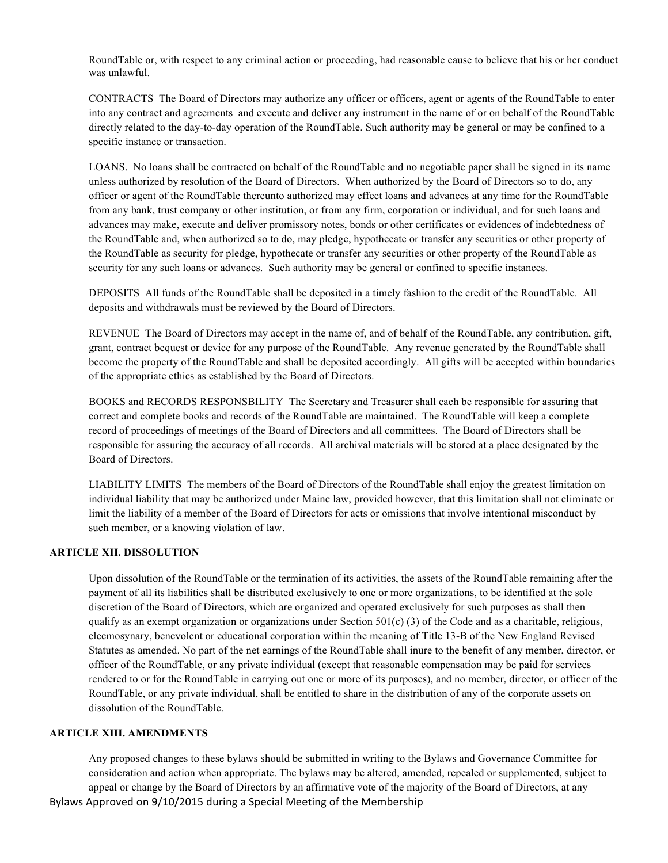RoundTable or, with respect to any criminal action or proceeding, had reasonable cause to believe that his or her conduct was unlawful.

CONTRACTS The Board of Directors may authorize any officer or officers, agent or agents of the RoundTable to enter into any contract and agreements and execute and deliver any instrument in the name of or on behalf of the RoundTable directly related to the day-to-day operation of the RoundTable. Such authority may be general or may be confined to a specific instance or transaction.

LOANS. No loans shall be contracted on behalf of the RoundTable and no negotiable paper shall be signed in its name unless authorized by resolution of the Board of Directors. When authorized by the Board of Directors so to do, any officer or agent of the RoundTable thereunto authorized may effect loans and advances at any time for the RoundTable from any bank, trust company or other institution, or from any firm, corporation or individual, and for such loans and advances may make, execute and deliver promissory notes, bonds or other certificates or evidences of indebtedness of the RoundTable and, when authorized so to do, may pledge, hypothecate or transfer any securities or other property of the RoundTable as security for pledge, hypothecate or transfer any securities or other property of the RoundTable as security for any such loans or advances. Such authority may be general or confined to specific instances.

DEPOSITS All funds of the RoundTable shall be deposited in a timely fashion to the credit of the RoundTable. All deposits and withdrawals must be reviewed by the Board of Directors.

REVENUE The Board of Directors may accept in the name of, and of behalf of the RoundTable, any contribution, gift, grant, contract bequest or device for any purpose of the RoundTable. Any revenue generated by the RoundTable shall become the property of the RoundTable and shall be deposited accordingly. All gifts will be accepted within boundaries of the appropriate ethics as established by the Board of Directors.

BOOKS and RECORDS RESPONSBILITY The Secretary and Treasurer shall each be responsible for assuring that correct and complete books and records of the RoundTable are maintained. The RoundTable will keep a complete record of proceedings of meetings of the Board of Directors and all committees. The Board of Directors shall be responsible for assuring the accuracy of all records. All archival materials will be stored at a place designated by the Board of Directors.

LIABILITY LIMITS The members of the Board of Directors of the RoundTable shall enjoy the greatest limitation on individual liability that may be authorized under Maine law, provided however, that this limitation shall not eliminate or limit the liability of a member of the Board of Directors for acts or omissions that involve intentional misconduct by such member, or a knowing violation of law.

### **ARTICLE XII. DISSOLUTION**

Upon dissolution of the RoundTable or the termination of its activities, the assets of the RoundTable remaining after the payment of all its liabilities shall be distributed exclusively to one or more organizations, to be identified at the sole discretion of the Board of Directors, which are organized and operated exclusively for such purposes as shall then qualify as an exempt organization or organizations under Section  $501(c)$  (3) of the Code and as a charitable, religious, eleemosynary, benevolent or educational corporation within the meaning of Title 13-B of the New England Revised Statutes as amended. No part of the net earnings of the RoundTable shall inure to the benefit of any member, director, or officer of the RoundTable, or any private individual (except that reasonable compensation may be paid for services rendered to or for the RoundTable in carrying out one or more of its purposes), and no member, director, or officer of the RoundTable, or any private individual, shall be entitled to share in the distribution of any of the corporate assets on dissolution of the RoundTable.

## **ARTICLE XIII. AMENDMENTS**

Bylaws Approved on 9/10/2015 during a Special Meeting of the Membership Any proposed changes to these bylaws should be submitted in writing to the Bylaws and Governance Committee for consideration and action when appropriate. The bylaws may be altered, amended, repealed or supplemented, subject to appeal or change by the Board of Directors by an affirmative vote of the majority of the Board of Directors, at any